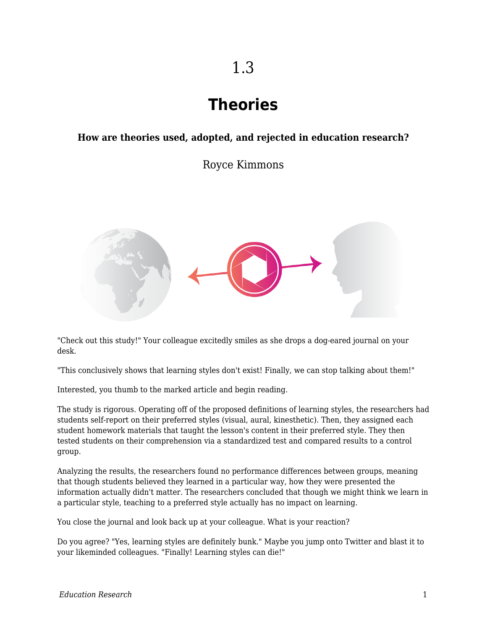# **Theories**

#### **How are theories used, adopted, and rejected in education research?**

Royce Kimmons



"Check out this study!" Your colleague excitedly smiles as she drops a dog-eared journal on your desk.

"This conclusively shows that learning styles don't exist! Finally, we can stop talking about them!"

Interested, you thumb to the marked article and begin reading.

The study is rigorous. Operating off of the proposed definitions of learning styles, the researchers had students self-report on their preferred styles (visual, aural, kinesthetic). Then, they assigned each student homework materials that taught the lesson's content in their preferred style. They then tested students on their comprehension via a standardized test and compared results to a control group.

Analyzing the results, the researchers found no performance differences between groups, meaning that though students believed they learned in a particular way, how they were presented the information actually didn't matter. The researchers concluded that though we might think we learn in a particular style, teaching to a preferred style actually has no impact on learning.

You close the journal and look back up at your colleague. What is your reaction?

Do you agree? "Yes, learning styles are definitely bunk." Maybe you jump onto Twitter and blast it to your likeminded colleagues. "Finally! Learning styles can die!"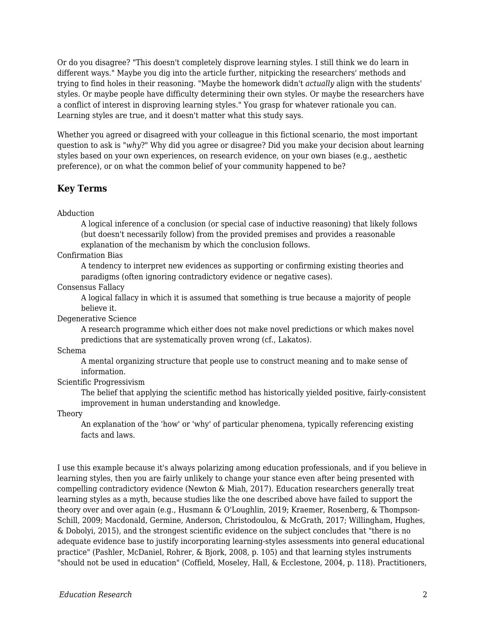Or do you disagree? "This doesn't completely disprove learning styles. I still think we do learn in different ways." Maybe you dig into the article further, nitpicking the researchers' methods and trying to find holes in their reasoning. "Maybe the homework didn't *actually* align with the students' styles. Or maybe people have difficulty determining their own styles. Or maybe the researchers have a conflict of interest in disproving learning styles." You grasp for whatever rationale you can. Learning styles are true, and it doesn't matter what this study says.

Whether you agreed or disagreed with your colleague in this fictional scenario, the most important question to ask is "*why*?" Why did you agree or disagree? Did you make your decision about learning styles based on your own experiences, on research evidence, on your own biases (e.g., aesthetic preference), or on what the common belief of your community happened to be?

#### **Key Terms**

Abduction

A logical inference of a conclusion (or special case of inductive reasoning) that likely follows (but doesn't necessarily follow) from the provided premises and provides a reasonable explanation of the mechanism by which the conclusion follows.

Confirmation Bias

A tendency to interpret new evidences as supporting or confirming existing theories and paradigms (often ignoring contradictory evidence or negative cases).

Consensus Fallacy

A logical fallacy in which it is assumed that something is true because a majority of people believe it.

Degenerative Science

A research programme which either does not make novel predictions or which makes novel predictions that are systematically proven wrong (cf., Lakatos).

Schema

A mental organizing structure that people use to construct meaning and to make sense of information.

Scientific Progressivism

The belief that applying the scientific method has historically yielded positive, fairly-consistent improvement in human understanding and knowledge.

Theory

An explanation of the 'how' or 'why' of particular phenomena, typically referencing existing facts and laws.

I use this example because it's always polarizing among education professionals, and if you believe in learning styles, then you are fairly unlikely to change your stance even after being presented with compelling contradictory evidence (Newton & Miah, 2017). Education researchers generally treat learning styles as a myth, because studies like the one described above have failed to support the theory over and over again (e.g., Husmann & O'Loughlin, 2019; Kraemer, Rosenberg, & Thompson-Schill, 2009; Macdonald, Germine, Anderson, Christodoulou, & McGrath, 2017; Willingham, Hughes, & Dobolyi, 2015), and the strongest scientific evidence on the subject concludes that "there is no adequate evidence base to justify incorporating learning-styles assessments into general educational practice" (Pashler, McDaniel, Rohrer, & Bjork, 2008, p. 105) and that learning styles instruments "should not be used in education" (Coffield, Moseley, Hall, & Ecclestone, 2004, p. 118). Practitioners,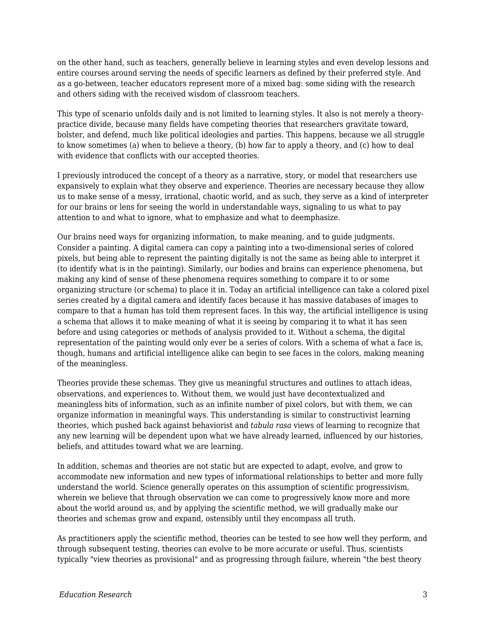on the other hand, such as teachers, generally believe in learning styles and even develop lessons and entire courses around serving the needs of specific learners as defined by their preferred style. And as a go-between, teacher educators represent more of a mixed bag: some siding with the research and others siding with the received wisdom of classroom teachers.

This type of scenario unfolds daily and is not limited to learning styles. It also is not merely a theorypractice divide, because many fields have competing theories that researchers gravitate toward, bolster, and defend, much like political ideologies and parties. This happens, because we all struggle to know sometimes (a) when to believe a theory, (b) how far to apply a theory, and (c) how to deal with evidence that conflicts with our accepted theories.

I previously introduced the concept of a theory as a narrative, story, or model that researchers use expansively to explain what they observe and experience. Theories are necessary because they allow us to make sense of a messy, irrational, chaotic world, and as such, they serve as a kind of interpreter for our brains or lens for seeing the world in understandable ways, signaling to us what to pay attention to and what to ignore, what to emphasize and what to deemphasize.

Our brains need ways for organizing information, to make meaning, and to guide judgments. Consider a painting. A digital camera can copy a painting into a two-dimensional series of colored pixels, but being able to represent the painting digitally is not the same as being able to interpret it (to identify what is in the painting). Similarly, our bodies and brains can experience phenomena, but making any kind of sense of these phenomena requires something to compare it to or some organizing structure (or schema) to place it in. Today an artificial intelligence can take a colored pixel series created by a digital camera and identify faces because it has massive databases of images to compare to that a human has told them represent faces. In this way, the artificial intelligence is using a schema that allows it to make meaning of what it is seeing by comparing it to what it has seen before and using categories or methods of analysis provided to it. Without a schema, the digital representation of the painting would only ever be a series of colors. With a schema of what a face is, though, humans and artificial intelligence alike can begin to see faces in the colors, making meaning of the meaningless.

Theories provide these schemas. They give us meaningful structures and outlines to attach ideas, observations, and experiences to. Without them, we would just have decontextualized and meaningless bits of information, such as an infinite number of pixel colors, but with them, we can organize information in meaningful ways. This understanding is similar to constructivist learning theories, which pushed back against behaviorist and *tabula rasa* views of learning to recognize that any new learning will be dependent upon what we have already learned, influenced by our histories, beliefs, and attitudes toward what we are learning.

In addition, schemas and theories are not static but are expected to adapt, evolve, and grow to accommodate new information and new types of informational relationships to better and more fully understand the world. Science generally operates on this assumption of scientific progressivism, wherein we believe that through observation we can come to progressively know more and more about the world around us, and by applying the scientific method, we will gradually make our theories and schemas grow and expand, ostensibly until they encompass all truth.

As practitioners apply the scientific method, theories can be tested to see how well they perform, and through subsequent testing, theories can evolve to be more accurate or useful. Thus, scientists typically "view theories as provisional" and as progressing through failure, wherein "the best theory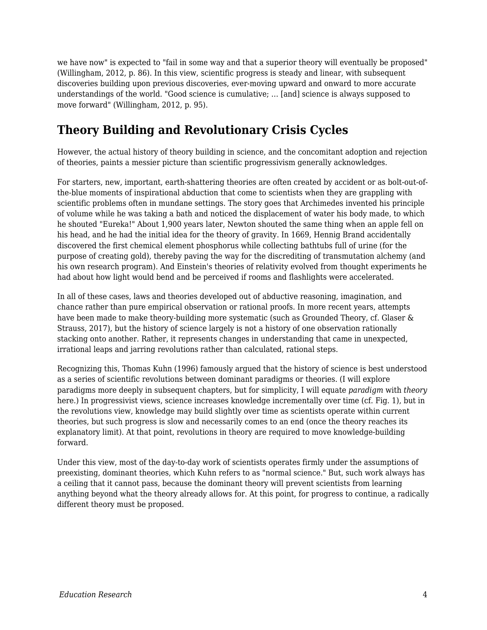we have now" is expected to "fail in some way and that a superior theory will eventually be proposed" (Willingham, 2012, p. 86). In this view, scientific progress is steady and linear, with subsequent discoveries building upon previous discoveries, ever-moving upward and onward to more accurate understandings of the world. "Good science is cumulative; … [and] science is always supposed to move forward" (Willingham, 2012, p. 95).

# **Theory Building and Revolutionary Crisis Cycles**

However, the actual history of theory building in science, and the concomitant adoption and rejection of theories, paints a messier picture than scientific progressivism generally acknowledges.

For starters, new, important, earth-shattering theories are often created by accident or as bolt-out-ofthe-blue moments of inspirational abduction that come to scientists when they are grappling with scientific problems often in mundane settings. The story goes that Archimedes invented his principle of volume while he was taking a bath and noticed the displacement of water his body made, to which he shouted "Eureka!" About 1,900 years later, Newton shouted the same thing when an apple fell on his head, and he had the initial idea for the theory of gravity. In 1669, Hennig Brand accidentally discovered the first chemical element phosphorus while collecting bathtubs full of urine (for the purpose of creating gold), thereby paving the way for the discrediting of transmutation alchemy (and his own research program). And Einstein's theories of relativity evolved from thought experiments he had about how light would bend and be perceived if rooms and flashlights were accelerated.

In all of these cases, laws and theories developed out of abductive reasoning, imagination, and chance rather than pure empirical observation or rational proofs. In more recent years, attempts have been made to make theory-building more systematic (such as Grounded Theory, cf. Glaser & Strauss, 2017), but the history of science largely is not a history of one observation rationally stacking onto another. Rather, it represents changes in understanding that came in unexpected, irrational leaps and jarring revolutions rather than calculated, rational steps.

Recognizing this, Thomas Kuhn (1996) famously argued that the history of science is best understood as a series of scientific revolutions between dominant paradigms or theories. (I will explore paradigms more deeply in subsequent chapters, but for simplicity, I will equate *paradigm* with *theory* here.) In progressivist views, science increases knowledge incrementally over time (cf. Fig. 1), but in the revolutions view, knowledge may build slightly over time as scientists operate within current theories, but such progress is slow and necessarily comes to an end (once the theory reaches its explanatory limit). At that point, revolutions in theory are required to move knowledge-building forward.

Under this view, most of the day-to-day work of scientists operates firmly under the assumptions of preexisting, dominant theories, which Kuhn refers to as "normal science." But, such work always has a ceiling that it cannot pass, because the dominant theory will prevent scientists from learning anything beyond what the theory already allows for. At this point, for progress to continue, a radically different theory must be proposed.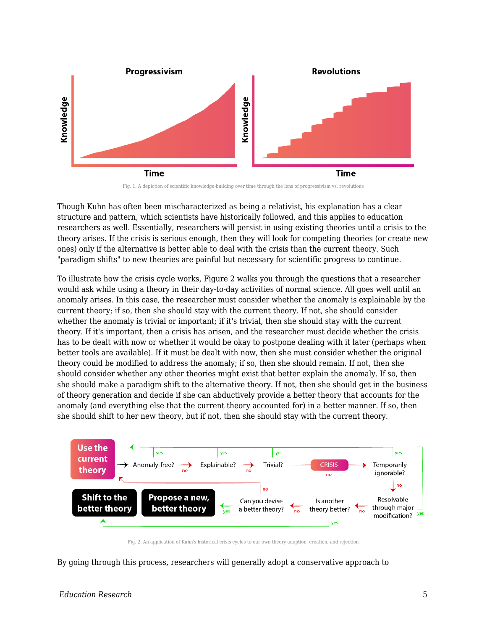

Fig. 1. A depiction of scientific knowledge-building over time through the lens of progressivism vs. revolutions

Though Kuhn has often been mischaracterized as being a relativist, his explanation has a clear structure and pattern, which scientists have historically followed, and this applies to education researchers as well. Essentially, researchers will persist in using existing theories until a crisis to the theory arises. If the crisis is serious enough, then they will look for competing theories (or create new ones) only if the alternative is better able to deal with the crisis than the current theory. Such "paradigm shifts" to new theories are painful but necessary for scientific progress to continue.

To illustrate how the crisis cycle works, Figure 2 walks you through the questions that a researcher would ask while using a theory in their day-to-day activities of normal science. All goes well until an anomaly arises. In this case, the researcher must consider whether the anomaly is explainable by the current theory; if so, then she should stay with the current theory. If not, she should consider whether the anomaly is trivial or important; if it's trivial, then she should stay with the current theory. If it's important, then a crisis has arisen, and the researcher must decide whether the crisis has to be dealt with now or whether it would be okay to postpone dealing with it later (perhaps when better tools are available). If it must be dealt with now, then she must consider whether the original theory could be modified to address the anomaly; if so, then she should remain. If not, then she should consider whether any other theories might exist that better explain the anomaly. If so, then she should make a paradigm shift to the alternative theory. If not, then she should get in the business of theory generation and decide if she can abductively provide a better theory that accounts for the anomaly (and everything else that the current theory accounted for) in a better manner. If so, then she should shift to her new theory, but if not, then she should stay with the current theory.



Fig. 2. An application of Kuhn's historical crisis cycles to our own theory adoption, creation, and rejection

By going through this process, researchers will generally adopt a conservative approach to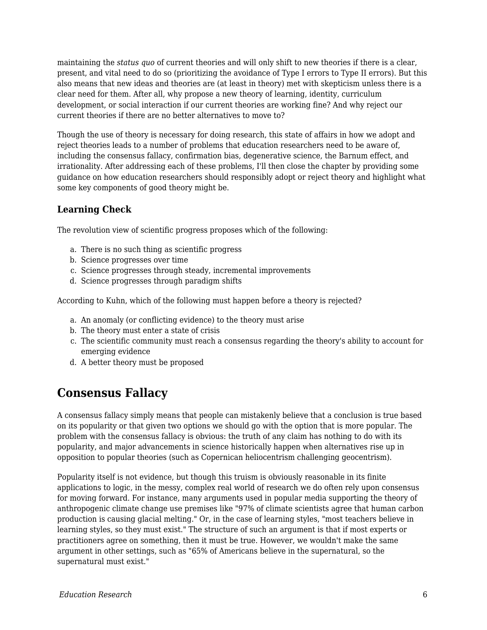maintaining the *status quo* of current theories and will only shift to new theories if there is a clear, present, and vital need to do so (prioritizing the avoidance of Type I errors to Type II errors). But this also means that new ideas and theories are (at least in theory) met with skepticism unless there is a clear need for them. After all, why propose a new theory of learning, identity, curriculum development, or social interaction if our current theories are working fine? And why reject our current theories if there are no better alternatives to move to?

Though the use of theory is necessary for doing research, this state of affairs in how we adopt and reject theories leads to a number of problems that education researchers need to be aware of, including the consensus fallacy, confirmation bias, degenerative science, the Barnum effect, and irrationality. After addressing each of these problems, I'll then close the chapter by providing some guidance on how education researchers should responsibly adopt or reject theory and highlight what some key components of good theory might be.

#### **Learning Check**

The revolution view of scientific progress proposes which of the following:

- a. There is no such thing as scientific progress
- b. Science progresses over time
- c. Science progresses through steady, incremental improvements
- d. Science progresses through paradigm shifts

According to Kuhn, which of the following must happen before a theory is rejected?

- a. An anomaly (or conflicting evidence) to the theory must arise
- b. The theory must enter a state of crisis
- c. The scientific community must reach a consensus regarding the theory's ability to account for emerging evidence
- d. A better theory must be proposed

### **Consensus Fallacy**

A consensus fallacy simply means that people can mistakenly believe that a conclusion is true based on its popularity or that given two options we should go with the option that is more popular. The problem with the consensus fallacy is obvious: the truth of any claim has nothing to do with its popularity, and major advancements in science historically happen when alternatives rise up in opposition to popular theories (such as Copernican heliocentrism challenging geocentrism).

Popularity itself is not evidence, but though this truism is obviously reasonable in its finite applications to logic, in the messy, complex real world of research we do often rely upon consensus for moving forward. For instance, many arguments used in popular media supporting the theory of anthropogenic climate change use premises like "97% of climate scientists agree that human carbon production is causing glacial melting." Or, in the case of learning styles, "most teachers believe in learning styles, so they must exist." The structure of such an argument is that if most experts or practitioners agree on something, then it must be true. However, we wouldn't make the same argument in other settings, such as "65% of Americans believe in the supernatural, so the supernatural must exist."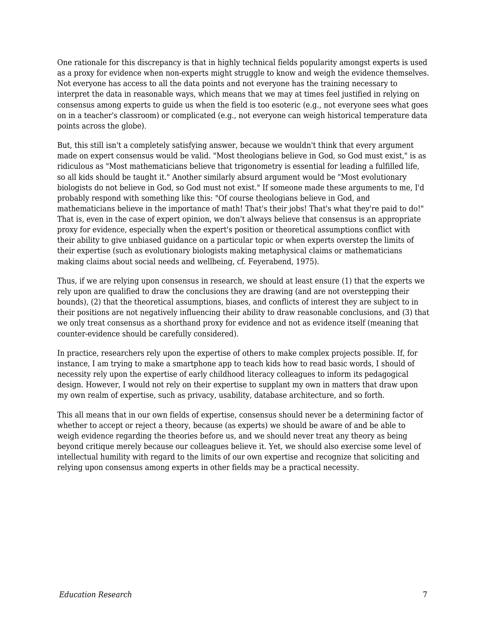One rationale for this discrepancy is that in highly technical fields popularity amongst experts is used as a proxy for evidence when non-experts might struggle to know and weigh the evidence themselves. Not everyone has access to all the data points and not everyone has the training necessary to interpret the data in reasonable ways, which means that we may at times feel justified in relying on consensus among experts to guide us when the field is too esoteric (e.g., not everyone sees what goes on in a teacher's classroom) or complicated (e.g., not everyone can weigh historical temperature data points across the globe).

But, this still isn't a completely satisfying answer, because we wouldn't think that every argument made on expert consensus would be valid. "Most theologians believe in God, so God must exist," is as ridiculous as "Most mathematicians believe that trigonometry is essential for leading a fulfilled life, so all kids should be taught it." Another similarly absurd argument would be "Most evolutionary biologists do not believe in God, so God must not exist." If someone made these arguments to me, I'd probably respond with something like this: "Of course theologians believe in God, and mathematicians believe in the importance of math! That's their jobs! That's what they're paid to do!" That is, even in the case of expert opinion, we don't always believe that consensus is an appropriate proxy for evidence, especially when the expert's position or theoretical assumptions conflict with their ability to give unbiased guidance on a particular topic or when experts overstep the limits of their expertise (such as evolutionary biologists making metaphysical claims or mathematicians making claims about social needs and wellbeing, cf. Feyerabend, 1975).

Thus, if we are relying upon consensus in research, we should at least ensure (1) that the experts we rely upon are qualified to draw the conclusions they are drawing (and are not overstepping their bounds), (2) that the theoretical assumptions, biases, and conflicts of interest they are subject to in their positions are not negatively influencing their ability to draw reasonable conclusions, and (3) that we only treat consensus as a shorthand proxy for evidence and not as evidence itself (meaning that counter-evidence should be carefully considered).

In practice, researchers rely upon the expertise of others to make complex projects possible. If, for instance, I am trying to make a smartphone app to teach kids how to read basic words, I should of necessity rely upon the expertise of early childhood literacy colleagues to inform its pedagogical design. However, I would not rely on their expertise to supplant my own in matters that draw upon my own realm of expertise, such as privacy, usability, database architecture, and so forth.

This all means that in our own fields of expertise, consensus should never be a determining factor of whether to accept or reject a theory, because (as experts) we should be aware of and be able to weigh evidence regarding the theories before us, and we should never treat any theory as being beyond critique merely because our colleagues believe it. Yet, we should also exercise some level of intellectual humility with regard to the limits of our own expertise and recognize that soliciting and relying upon consensus among experts in other fields may be a practical necessity.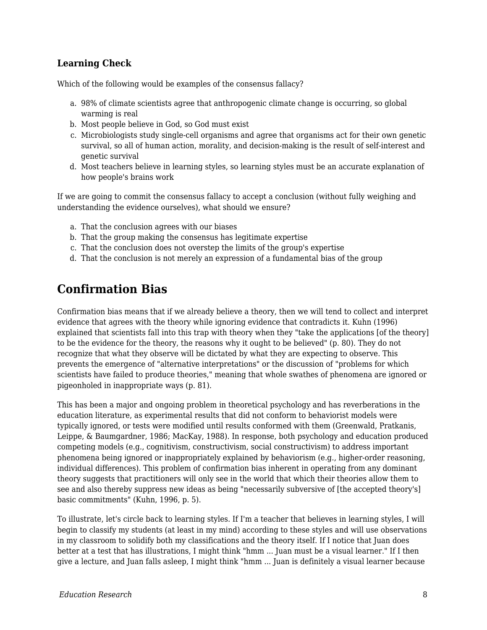#### **Learning Check**

Which of the following would be examples of the consensus fallacy?

- a. 98% of climate scientists agree that anthropogenic climate change is occurring, so global warming is real
- b. Most people believe in God, so God must exist
- c. Microbiologists study single-cell organisms and agree that organisms act for their own genetic survival, so all of human action, morality, and decision-making is the result of self-interest and genetic survival
- d. Most teachers believe in learning styles, so learning styles must be an accurate explanation of how people's brains work

If we are going to commit the consensus fallacy to accept a conclusion (without fully weighing and understanding the evidence ourselves), what should we ensure?

- a. That the conclusion agrees with our biases
- b. That the group making the consensus has legitimate expertise
- c. That the conclusion does not overstep the limits of the group's expertise
- d. That the conclusion is not merely an expression of a fundamental bias of the group

### **Confirmation Bias**

Confirmation bias means that if we already believe a theory, then we will tend to collect and interpret evidence that agrees with the theory while ignoring evidence that contradicts it. Kuhn (1996) explained that scientists fall into this trap with theory when they "take the applications [of the theory] to be the evidence for the theory, the reasons why it ought to be believed" (p. 80). They do not recognize that what they observe will be dictated by what they are expecting to observe. This prevents the emergence of "alternative interpretations" or the discussion of "problems for which scientists have failed to produce theories," meaning that whole swathes of phenomena are ignored or pigeonholed in inappropriate ways (p. 81).

This has been a major and ongoing problem in theoretical psychology and has reverberations in the education literature, as experimental results that did not conform to behaviorist models were typically ignored, or tests were modified until results conformed with them (Greenwald, Pratkanis, Leippe, & Baumgardner, 1986; MacKay, 1988). In response, both psychology and education produced competing models (e.g., cognitivism, constructivism, social constructivism) to address important phenomena being ignored or inappropriately explained by behaviorism (e.g., higher-order reasoning, individual differences). This problem of confirmation bias inherent in operating from any dominant theory suggests that practitioners will only see in the world that which their theories allow them to see and also thereby suppress new ideas as being "necessarily subversive of [the accepted theory's] basic commitments" (Kuhn, 1996, p. 5).

To illustrate, let's circle back to learning styles. If I'm a teacher that believes in learning styles, I will begin to classify my students (at least in my mind) according to these styles and will use observations in my classroom to solidify both my classifications and the theory itself. If I notice that Juan does better at a test that has illustrations, I might think "hmm ... Juan must be a visual learner." If I then give a lecture, and Juan falls asleep, I might think "hmm ... Juan is definitely a visual learner because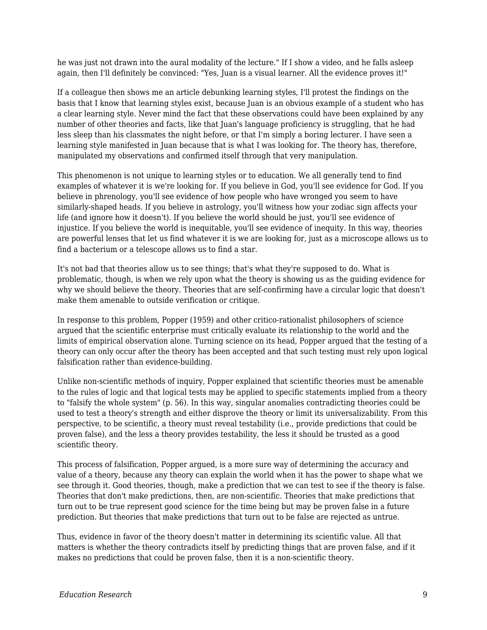he was just not drawn into the aural modality of the lecture." If I show a video, and he falls asleep again, then I'll definitely be convinced: "Yes, Juan is a visual learner. All the evidence proves it!"

If a colleague then shows me an article debunking learning styles, I'll protest the findings on the basis that I know that learning styles exist, because Juan is an obvious example of a student who has a clear learning style. Never mind the fact that these observations could have been explained by any number of other theories and facts, like that Juan's language proficiency is struggling, that he had less sleep than his classmates the night before, or that I'm simply a boring lecturer. I have seen a learning style manifested in Juan because that is what I was looking for. The theory has, therefore, manipulated my observations and confirmed itself through that very manipulation.

This phenomenon is not unique to learning styles or to education. We all generally tend to find examples of whatever it is we're looking for. If you believe in God, you'll see evidence for God. If you believe in phrenology, you'll see evidence of how people who have wronged you seem to have similarly-shaped heads. If you believe in astrology, you'll witness how your zodiac sign affects your life (and ignore how it doesn't). If you believe the world should be just, you'll see evidence of injustice. If you believe the world is inequitable, you'll see evidence of inequity. In this way, theories are powerful lenses that let us find whatever it is we are looking for, just as a microscope allows us to find a bacterium or a telescope allows us to find a star.

It's not bad that theories allow us to see things; that's what they're supposed to do. What is problematic, though, is when we rely upon what the theory is showing us as the guiding evidence for why we should believe the theory. Theories that are self-confirming have a circular logic that doesn't make them amenable to outside verification or critique.

In response to this problem, Popper (1959) and other critico-rationalist philosophers of science argued that the scientific enterprise must critically evaluate its relationship to the world and the limits of empirical observation alone. Turning science on its head, Popper argued that the testing of a theory can only occur after the theory has been accepted and that such testing must rely upon logical falsification rather than evidence-building.

Unlike non-scientific methods of inquiry, Popper explained that scientific theories must be amenable to the rules of logic and that logical tests may be applied to specific statements implied from a theory to "falsify the whole system" (p. 56). In this way, singular anomalies contradicting theories could be used to test a theory's strength and either disprove the theory or limit its universalizability. From this perspective, to be scientific, a theory must reveal testability (i.e., provide predictions that could be proven false), and the less a theory provides testability, the less it should be trusted as a good scientific theory.

This process of falsification, Popper argued, is a more sure way of determining the accuracy and value of a theory, because any theory can explain the world when it has the power to shape what we see through it. Good theories, though, make a prediction that we can test to see if the theory is false. Theories that don't make predictions, then, are non-scientific. Theories that make predictions that turn out to be true represent good science for the time being but may be proven false in a future prediction. But theories that make predictions that turn out to be false are rejected as untrue.

Thus, evidence in favor of the theory doesn't matter in determining its scientific value. All that matters is whether the theory contradicts itself by predicting things that are proven false, and if it makes no predictions that could be proven false, then it is a non-scientific theory.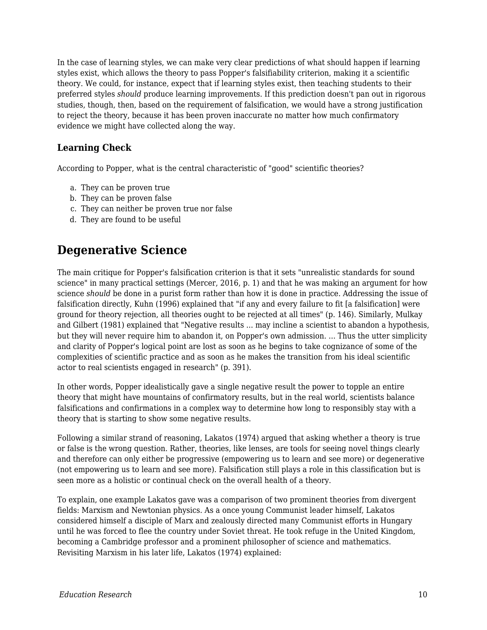In the case of learning styles, we can make very clear predictions of what should happen if learning styles exist, which allows the theory to pass Popper's falsifiability criterion, making it a scientific theory. We could, for instance, expect that if learning styles exist, then teaching students to their preferred styles *should* produce learning improvements. If this prediction doesn't pan out in rigorous studies, though, then, based on the requirement of falsification, we would have a strong justification to reject the theory, because it has been proven inaccurate no matter how much confirmatory evidence we might have collected along the way.

#### **Learning Check**

According to Popper, what is the central characteristic of "good" scientific theories?

- a. They can be proven true
- b. They can be proven false
- c. They can neither be proven true nor false
- d. They are found to be useful

### **Degenerative Science**

The main critique for Popper's falsification criterion is that it sets "unrealistic standards for sound science" in many practical settings (Mercer, 2016, p. 1) and that he was making an argument for how science *should* be done in a purist form rather than how it is done in practice. Addressing the issue of falsification directly, Kuhn (1996) explained that "if any and every failure to fit [a falsification] were ground for theory rejection, all theories ought to be rejected at all times" (p. 146). Similarly, Mulkay and Gilbert (1981) explained that "Negative results ... may incline a scientist to abandon a hypothesis, but they will never require him to abandon it, on Popper's own admission. ... Thus the utter simplicity and clarity of Popper's logical point are lost as soon as he begins to take cognizance of some of the complexities of scientific practice and as soon as he makes the transition from his ideal scientific actor to real scientists engaged in research" (p. 391).

In other words, Popper idealistically gave a single negative result the power to topple an entire theory that might have mountains of confirmatory results, but in the real world, scientists balance falsifications and confirmations in a complex way to determine how long to responsibly stay with a theory that is starting to show some negative results.

Following a similar strand of reasoning, Lakatos (1974) argued that asking whether a theory is true or false is the wrong question. Rather, theories, like lenses, are tools for seeing novel things clearly and therefore can only either be progressive (empowering us to learn and see more) or degenerative (not empowering us to learn and see more). Falsification still plays a role in this classification but is seen more as a holistic or continual check on the overall health of a theory.

To explain, one example Lakatos gave was a comparison of two prominent theories from divergent fields: Marxism and Newtonian physics. As a once young Communist leader himself, Lakatos considered himself a disciple of Marx and zealously directed many Communist efforts in Hungary until he was forced to flee the country under Soviet threat. He took refuge in the United Kingdom, becoming a Cambridge professor and a prominent philosopher of science and mathematics. Revisiting Marxism in his later life, Lakatos (1974) explained: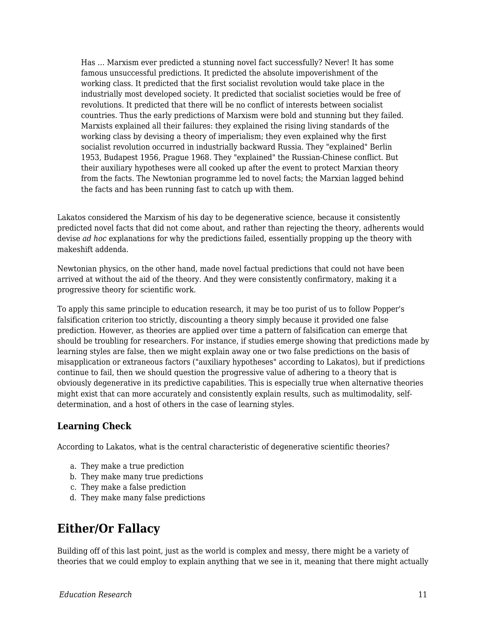Has … Marxism ever predicted a stunning novel fact successfully? Never! It has some famous unsuccessful predictions. It predicted the absolute impoverishment of the working class. It predicted that the first socialist revolution would take place in the industrially most developed society. It predicted that socialist societies would be free of revolutions. It predicted that there will be no conflict of interests between socialist countries. Thus the early predictions of Marxism were bold and stunning but they failed. Marxists explained all their failures: they explained the rising living standards of the working class by devising a theory of imperialism; they even explained why the first socialist revolution occurred in industrially backward Russia. They "explained" Berlin 1953, Budapest 1956, Prague 1968. They "explained" the Russian-Chinese conflict. But their auxiliary hypotheses were all cooked up after the event to protect Marxian theory from the facts. The Newtonian programme led to novel facts; the Marxian lagged behind the facts and has been running fast to catch up with them.

Lakatos considered the Marxism of his day to be degenerative science, because it consistently predicted novel facts that did not come about, and rather than rejecting the theory, adherents would devise *ad hoc* explanations for why the predictions failed, essentially propping up the theory with makeshift addenda.

Newtonian physics, on the other hand, made novel factual predictions that could not have been arrived at without the aid of the theory. And they were consistently confirmatory, making it a progressive theory for scientific work.

To apply this same principle to education research, it may be too purist of us to follow Popper's falsification criterion too strictly, discounting a theory simply because it provided one false prediction. However, as theories are applied over time a pattern of falsification can emerge that should be troubling for researchers. For instance, if studies emerge showing that predictions made by learning styles are false, then we might explain away one or two false predictions on the basis of misapplication or extraneous factors ("auxiliary hypotheses" according to Lakatos), but if predictions continue to fail, then we should question the progressive value of adhering to a theory that is obviously degenerative in its predictive capabilities. This is especially true when alternative theories might exist that can more accurately and consistently explain results, such as multimodality, selfdetermination, and a host of others in the case of learning styles.

#### **Learning Check**

According to Lakatos, what is the central characteristic of degenerative scientific theories?

- a. They make a true prediction
- b. They make many true predictions
- c. They make a false prediction
- d. They make many false predictions

### **Either/Or Fallacy**

Building off of this last point, just as the world is complex and messy, there might be a variety of theories that we could employ to explain anything that we see in it, meaning that there might actually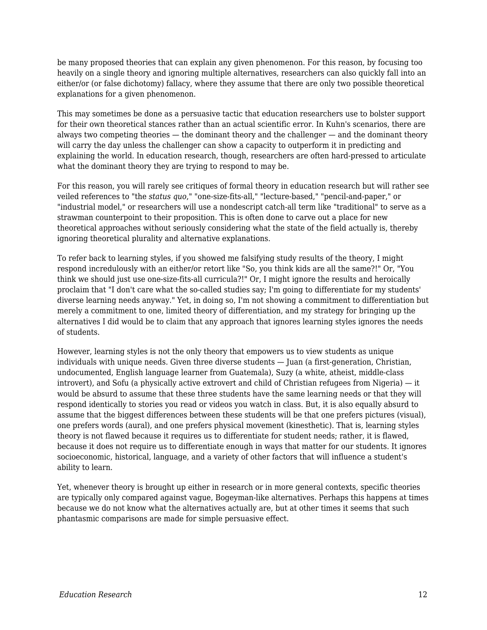be many proposed theories that can explain any given phenomenon. For this reason, by focusing too heavily on a single theory and ignoring multiple alternatives, researchers can also quickly fall into an either/or (or false dichotomy) fallacy, where they assume that there are only two possible theoretical explanations for a given phenomenon.

This may sometimes be done as a persuasive tactic that education researchers use to bolster support for their own theoretical stances rather than an actual scientific error. In Kuhn's scenarios, there are always two competing theories — the dominant theory and the challenger — and the dominant theory will carry the day unless the challenger can show a capacity to outperform it in predicting and explaining the world. In education research, though, researchers are often hard-pressed to articulate what the dominant theory they are trying to respond to may be.

For this reason, you will rarely see critiques of formal theory in education research but will rather see veiled references to "the *status quo*," "one-size-fits-all," "lecture-based," "pencil-and-paper," or "industrial model," or researchers will use a nondescript catch-all term like "traditional" to serve as a strawman counterpoint to their proposition. This is often done to carve out a place for new theoretical approaches without seriously considering what the state of the field actually is, thereby ignoring theoretical plurality and alternative explanations.

To refer back to learning styles, if you showed me falsifying study results of the theory, I might respond incredulously with an either/or retort like "So, you think kids are all the same?!" Or, "You think we should just use one-size-fits-all curricula?!" Or, I might ignore the results and heroically proclaim that "I don't care what the so-called studies say; I'm going to differentiate for my students' diverse learning needs anyway." Yet, in doing so, I'm not showing a commitment to differentiation but merely a commitment to one, limited theory of differentiation, and my strategy for bringing up the alternatives I did would be to claim that any approach that ignores learning styles ignores the needs of students.

However, learning styles is not the only theory that empowers us to view students as unique individuals with unique needs. Given three diverse students — Juan (a first-generation, Christian, undocumented, English language learner from Guatemala), Suzy (a white, atheist, middle-class introvert), and Sofu (a physically active extrovert and child of Christian refugees from Nigeria) — it would be absurd to assume that these three students have the same learning needs or that they will respond identically to stories you read or videos you watch in class. But, it is also equally absurd to assume that the biggest differences between these students will be that one prefers pictures (visual), one prefers words (aural), and one prefers physical movement (kinesthetic). That is, learning styles theory is not flawed because it requires us to differentiate for student needs; rather, it is flawed, because it does not require us to differentiate enough in ways that matter for our students. It ignores socioeconomic, historical, language, and a variety of other factors that will influence a student's ability to learn.

Yet, whenever theory is brought up either in research or in more general contexts, specific theories are typically only compared against vague, Bogeyman-like alternatives. Perhaps this happens at times because we do not know what the alternatives actually are, but at other times it seems that such phantasmic comparisons are made for simple persuasive effect.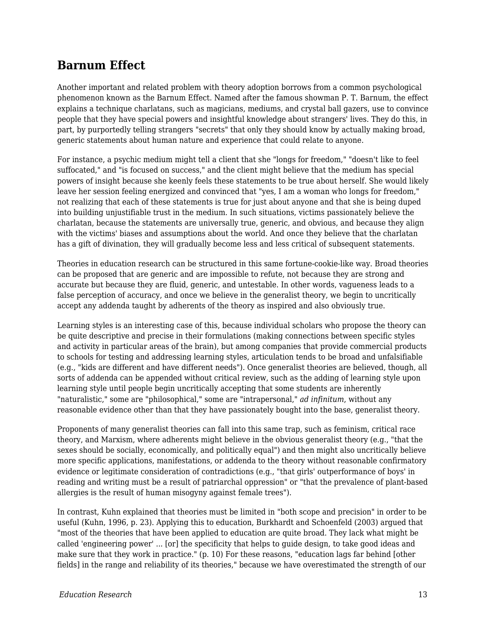## **Barnum Effect**

Another important and related problem with theory adoption borrows from a common psychological phenomenon known as the Barnum Effect. Named after the famous showman P. T. Barnum, the effect explains a technique charlatans, such as magicians, mediums, and crystal ball gazers, use to convince people that they have special powers and insightful knowledge about strangers' lives. They do this, in part, by purportedly telling strangers "secrets" that only they should know by actually making broad, generic statements about human nature and experience that could relate to anyone.

For instance, a psychic medium might tell a client that she "longs for freedom," "doesn't like to feel suffocated," and "is focused on success," and the client might believe that the medium has special powers of insight because she keenly feels these statements to be true about herself. She would likely leave her session feeling energized and convinced that "yes, I am a woman who longs for freedom," not realizing that each of these statements is true for just about anyone and that she is being duped into building unjustifiable trust in the medium. In such situations, victims passionately believe the charlatan, because the statements are universally true, generic, and obvious, and because they align with the victims' biases and assumptions about the world. And once they believe that the charlatan has a gift of divination, they will gradually become less and less critical of subsequent statements.

Theories in education research can be structured in this same fortune-cookie-like way. Broad theories can be proposed that are generic and are impossible to refute, not because they are strong and accurate but because they are fluid, generic, and untestable. In other words, vagueness leads to a false perception of accuracy, and once we believe in the generalist theory, we begin to uncritically accept any addenda taught by adherents of the theory as inspired and also obviously true.

Learning styles is an interesting case of this, because individual scholars who propose the theory can be quite descriptive and precise in their formulations (making connections between specific styles and activity in particular areas of the brain), but among companies that provide commercial products to schools for testing and addressing learning styles, articulation tends to be broad and unfalsifiable (e.g., "kids are different and have different needs"). Once generalist theories are believed, though, all sorts of addenda can be appended without critical review, such as the adding of learning style upon learning style until people begin uncritically accepting that some students are inherently "naturalistic," some are "philosophical," some are "intrapersonal," *ad infinitum*, without any reasonable evidence other than that they have passionately bought into the base, generalist theory.

Proponents of many generalist theories can fall into this same trap, such as feminism, critical race theory, and Marxism, where adherents might believe in the obvious generalist theory (e.g., "that the sexes should be socially, economically, and politically equal") and then might also uncritically believe more specific applications, manifestations, or addenda to the theory without reasonable confirmatory evidence or legitimate consideration of contradictions (e.g., "that girls' outperformance of boys' in reading and writing must be a result of patriarchal oppression" or "that the prevalence of plant-based allergies is the result of human misogyny against female trees").

In contrast, Kuhn explained that theories must be limited in "both scope and precision" in order to be useful (Kuhn, 1996, p. 23). Applying this to education, Burkhardt and Schoenfeld (2003) argued that "most of the theories that have been applied to education are quite broad. They lack what might be called 'engineering power' ... [or] the specificity that helps to guide design, to take good ideas and make sure that they work in practice." (p. 10) For these reasons, "education lags far behind [other fields] in the range and reliability of its theories," because we have overestimated the strength of our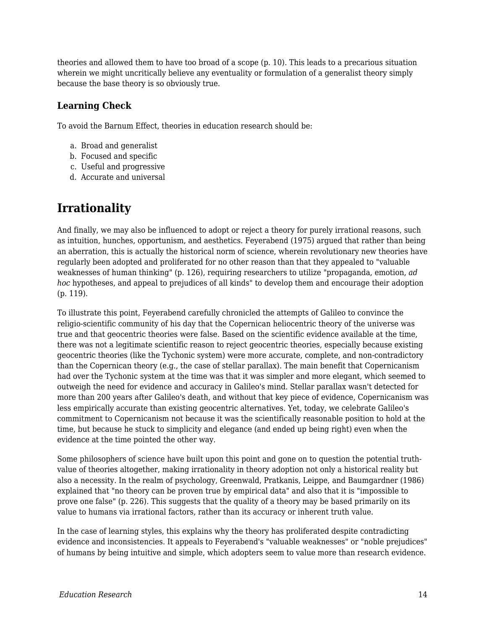theories and allowed them to have too broad of a scope (p. 10). This leads to a precarious situation wherein we might uncritically believe any eventuality or formulation of a generalist theory simply because the base theory is so obviously true.

#### **Learning Check**

To avoid the Barnum Effect, theories in education research should be:

- a. Broad and generalist
- b. Focused and specific
- c. Useful and progressive
- d. Accurate and universal

### **Irrationality**

And finally, we may also be influenced to adopt or reject a theory for purely irrational reasons, such as intuition, hunches, opportunism, and aesthetics. Feyerabend (1975) argued that rather than being an aberration, this is actually the historical norm of science, wherein revolutionary new theories have regularly been adopted and proliferated for no other reason than that they appealed to "valuable weaknesses of human thinking" (p. 126), requiring researchers to utilize "propaganda, emotion, *ad hoc* hypotheses, and appeal to prejudices of all kinds" to develop them and encourage their adoption (p. 119).

To illustrate this point, Feyerabend carefully chronicled the attempts of Galileo to convince the religio-scientific community of his day that the Copernican heliocentric theory of the universe was true and that geocentric theories were false. Based on the scientific evidence available at the time, there was not a legitimate scientific reason to reject geocentric theories, especially because existing geocentric theories (like the Tychonic system) were more accurate, complete, and non-contradictory than the Copernican theory (e.g., the case of stellar parallax). The main benefit that Copernicanism had over the Tychonic system at the time was that it was simpler and more elegant, which seemed to outweigh the need for evidence and accuracy in Galileo's mind. Stellar parallax wasn't detected for more than 200 years after Galileo's death, and without that key piece of evidence, Copernicanism was less empirically accurate than existing geocentric alternatives. Yet, today, we celebrate Galileo's commitment to Copernicanism not because it was the scientifically reasonable position to hold at the time, but because he stuck to simplicity and elegance (and ended up being right) even when the evidence at the time pointed the other way.

Some philosophers of science have built upon this point and gone on to question the potential truthvalue of theories altogether, making irrationality in theory adoption not only a historical reality but also a necessity. In the realm of psychology, Greenwald, Pratkanis, Leippe, and Baumgardner (1986) explained that "no theory can be proven true by empirical data" and also that it is "impossible to prove one false" (p. 226). This suggests that the quality of a theory may be based primarily on its value to humans via irrational factors, rather than its accuracy or inherent truth value.

In the case of learning styles, this explains why the theory has proliferated despite contradicting evidence and inconsistencies. It appeals to Feyerabend's "valuable weaknesses" or "noble prejudices" of humans by being intuitive and simple, which adopters seem to value more than research evidence.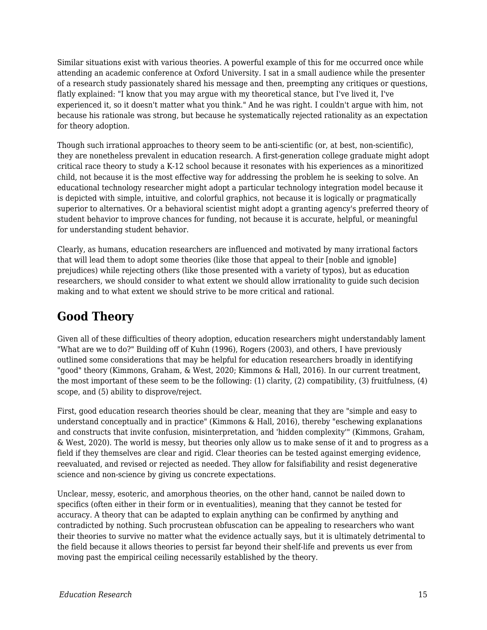Similar situations exist with various theories. A powerful example of this for me occurred once while attending an academic conference at Oxford University. I sat in a small audience while the presenter of a research study passionately shared his message and then, preempting any critiques or questions, flatly explained: "I know that you may argue with my theoretical stance, but I've lived it, I've experienced it, so it doesn't matter what you think." And he was right. I couldn't argue with him, not because his rationale was strong, but because he systematically rejected rationality as an expectation for theory adoption.

Though such irrational approaches to theory seem to be anti-scientific (or, at best, non-scientific), they are nonetheless prevalent in education research. A first-generation college graduate might adopt critical race theory to study a K-12 school because it resonates with his experiences as a minoritized child, not because it is the most effective way for addressing the problem he is seeking to solve. An educational technology researcher might adopt a particular technology integration model because it is depicted with simple, intuitive, and colorful graphics, not because it is logically or pragmatically superior to alternatives. Or a behavioral scientist might adopt a granting agency's preferred theory of student behavior to improve chances for funding, not because it is accurate, helpful, or meaningful for understanding student behavior.

Clearly, as humans, education researchers are influenced and motivated by many irrational factors that will lead them to adopt some theories (like those that appeal to their [noble and ignoble] prejudices) while rejecting others (like those presented with a variety of typos), but as education researchers, we should consider to what extent we should allow irrationality to guide such decision making and to what extent we should strive to be more critical and rational.

### **Good Theory**

Given all of these difficulties of theory adoption, education researchers might understandably lament "What are we to do?" Building off of Kuhn (1996), Rogers (2003), and others, I have previously outlined some considerations that may be helpful for education researchers broadly in identifying "good" theory (Kimmons, Graham, & West, 2020; Kimmons & Hall, 2016). In our current treatment, the most important of these seem to be the following: (1) clarity, (2) compatibility, (3) fruitfulness, (4) scope, and (5) ability to disprove/reject.

First, good education research theories should be clear, meaning that they are "simple and easy to understand conceptually and in practice" (Kimmons & Hall, 2016), thereby "eschewing explanations and constructs that invite confusion, misinterpretation, and 'hidden complexity'" (Kimmons, Graham, & West, 2020). The world is messy, but theories only allow us to make sense of it and to progress as a field if they themselves are clear and rigid. Clear theories can be tested against emerging evidence, reevaluated, and revised or rejected as needed. They allow for falsifiability and resist degenerative science and non-science by giving us concrete expectations.

Unclear, messy, esoteric, and amorphous theories, on the other hand, cannot be nailed down to specifics (often either in their form or in eventualities), meaning that they cannot be tested for accuracy. A theory that can be adapted to explain anything can be confirmed by anything and contradicted by nothing. Such procrustean obfuscation can be appealing to researchers who want their theories to survive no matter what the evidence actually says, but it is ultimately detrimental to the field because it allows theories to persist far beyond their shelf-life and prevents us ever from moving past the empirical ceiling necessarily established by the theory.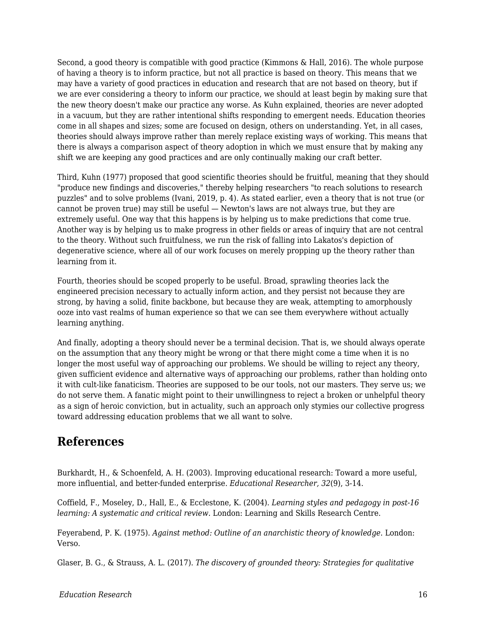Second, a good theory is compatible with good practice (Kimmons & Hall, 2016). The whole purpose of having a theory is to inform practice, but not all practice is based on theory. This means that we may have a variety of good practices in education and research that are not based on theory, but if we are ever considering a theory to inform our practice, we should at least begin by making sure that the new theory doesn't make our practice any worse. As Kuhn explained, theories are never adopted in a vacuum, but they are rather intentional shifts responding to emergent needs. Education theories come in all shapes and sizes; some are focused on design, others on understanding. Yet, in all cases, theories should always improve rather than merely replace existing ways of working. This means that there is always a comparison aspect of theory adoption in which we must ensure that by making any shift we are keeping any good practices and are only continually making our craft better.

Third, Kuhn (1977) proposed that good scientific theories should be fruitful, meaning that they should "produce new findings and discoveries," thereby helping researchers "to reach solutions to research puzzles" and to solve problems (Ivani, 2019, p. 4). As stated earlier, even a theory that is not true (or cannot be proven true) may still be useful — Newton's laws are not always true, but they are extremely useful. One way that this happens is by helping us to make predictions that come true. Another way is by helping us to make progress in other fields or areas of inquiry that are not central to the theory. Without such fruitfulness, we run the risk of falling into Lakatos's depiction of degenerative science, where all of our work focuses on merely propping up the theory rather than learning from it.

Fourth, theories should be scoped properly to be useful. Broad, sprawling theories lack the engineered precision necessary to actually inform action, and they persist not because they are strong, by having a solid, finite backbone, but because they are weak, attempting to amorphously ooze into vast realms of human experience so that we can see them everywhere without actually learning anything.

And finally, adopting a theory should never be a terminal decision. That is, we should always operate on the assumption that any theory might be wrong or that there might come a time when it is no longer the most useful way of approaching our problems. We should be willing to reject any theory, given sufficient evidence and alternative ways of approaching our problems, rather than holding onto it with cult-like fanaticism. Theories are supposed to be our tools, not our masters. They serve us; we do not serve them. A fanatic might point to their unwillingness to reject a broken or unhelpful theory as a sign of heroic conviction, but in actuality, such an approach only stymies our collective progress toward addressing education problems that we all want to solve.

### **References**

Burkhardt, H., & Schoenfeld, A. H. (2003). Improving educational research: Toward a more useful, more influential, and better-funded enterprise. *Educational Researcher, 32*(9), 3-14.

Coffield, F., Moseley, D., Hall, E., & Ecclestone, K. (2004). *Learning styles and pedagogy in post-16 learning: A systematic and critical review*. London: Learning and Skills Research Centre.

Feyerabend, P. K. (1975). *Against method: Outline of an anarchistic theory of knowledge*. London: Verso.

Glaser, B. G., & Strauss, A. L. (2017). *The discovery of grounded theory: Strategies for qualitative*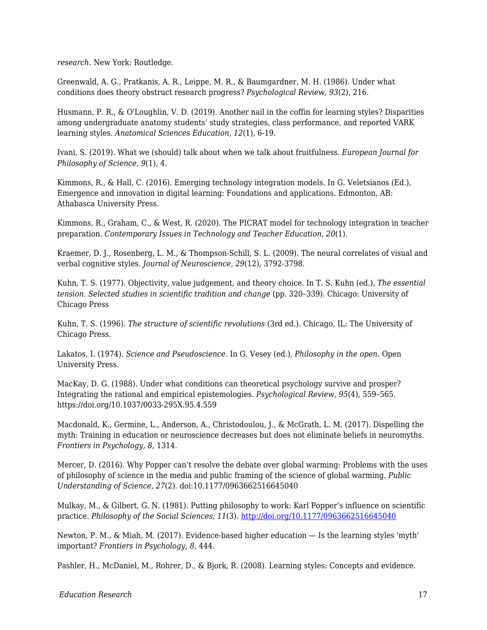*research*. New York: Routledge.

Greenwald, A. G., Pratkanis, A. R., Leippe, M. R., & Baumgardner, M. H. (1986). Under what conditions does theory obstruct research progress? *Psychological Review, 93*(2), 216.

Husmann, P. R., & O'Loughlin, V. D. (2019). Another nail in the coffin for learning styles? Disparities among undergraduate anatomy students' study strategies, class performance, and reported VARK learning styles. *Anatomical Sciences Education, 12*(1), 6-19.

Ivani, S. (2019). What we (should) talk about when we talk about fruitfulness. *European Journal for Philosophy of Science, 9*(1), 4.

Kimmons, R., & Hall, C. (2016). Emerging technology integration models. In G. Veletsianos (Ed.), Emergence and innovation in digital learning: Foundations and applications. Edmonton, AB: Athabasca University Press.

Kimmons, R., Graham, C., & West, R. (2020). The PICRAT model for technology integration in teacher preparation. *Contemporary Issues in Technology and Teacher Education, 20*(1).

Kraemer, D. J., Rosenberg, L. M., & Thompson-Schill, S. L. (2009). The neural correlates of visual and verbal cognitive styles. *Journal of Neuroscience, 29*(12), 3792-3798.

Kuhn, T. S. (1977). Objectivity, value judgement, and theory choice. In T. S. Kuhn (ed.), *The essential tension. Selected studies in scientific tradition and change* (pp. 320–339). Chicago: University of Chicago Press

Kuhn, T. S. (1996). *The structure of scientific revolutions* (3rd ed.). Chicago, IL: The University of Chicago Press.

Lakatos, I. (1974). *Science and Pseudoscience*. In G. Vesey (ed.), *Philosophy in the open.* Open University Press.

MacKay, D. G. (1988). Under what conditions can theoretical psychology survive and prosper? Integrating the rational and empirical epistemologies. *Psychological Review, 95*(4), 559–565. https://doi.org/10.1037/0033-295X.95.4.559

Macdonald, K., Germine, L., Anderson, A., Christodoulou, J., & McGrath, L. M. (2017). Dispelling the myth: Training in education or neuroscience decreases but does not eliminate beliefs in neuromyths. *Frontiers in Psychology, 8*, 1314.

Mercer, D. (2016). Why Popper can't resolve the debate over global warming: Problems with the uses of philosophy of science in the media and public framing of the science of global warming. *Public Understanding of Science, 27*(2). doi:10.1177/0963662516645040

Mulkay, M., & Gilbert, G. N. (1981). Putting philosophy to work: Karl Popper's influence on scientific practice. *Philosophy of the Social Sciences, 11*(3).<http://doi.org/10.1177/0963662516645040>

Newton, P. M., & Miah, M. (2017). Evidence-based higher education — Is the learning styles 'myth' important? *Frontiers in Psychology, 8*, 444.

Pashler, H., McDaniel, M., Rohrer, D., & Bjork, R. (2008). Learning styles: Concepts and evidence.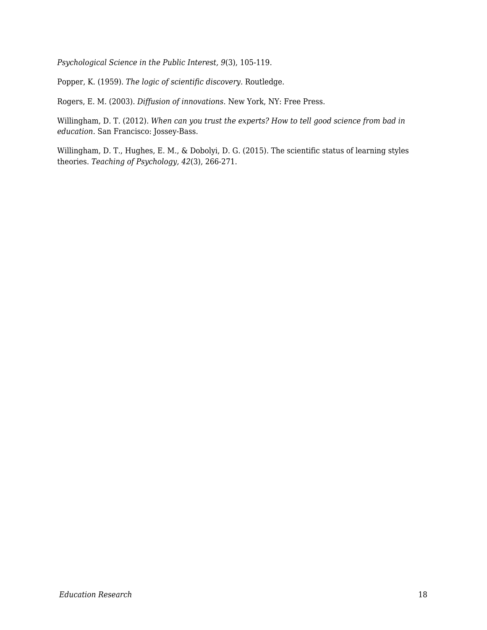*Psychological Science in the Public Interest, 9*(3), 105-119.

Popper, K. (1959). *The logic of scientific discovery*. Routledge.

Rogers, E. M. (2003). *Diffusion of innovations*. New York, NY: Free Press.

Willingham, D. T. (2012). *When can you trust the experts? How to tell good science from bad in education*. San Francisco: Jossey-Bass.

Willingham, D. T., Hughes, E. M., & Dobolyi, D. G. (2015). The scientific status of learning styles theories. *Teaching of Psychology, 42*(3), 266-271.